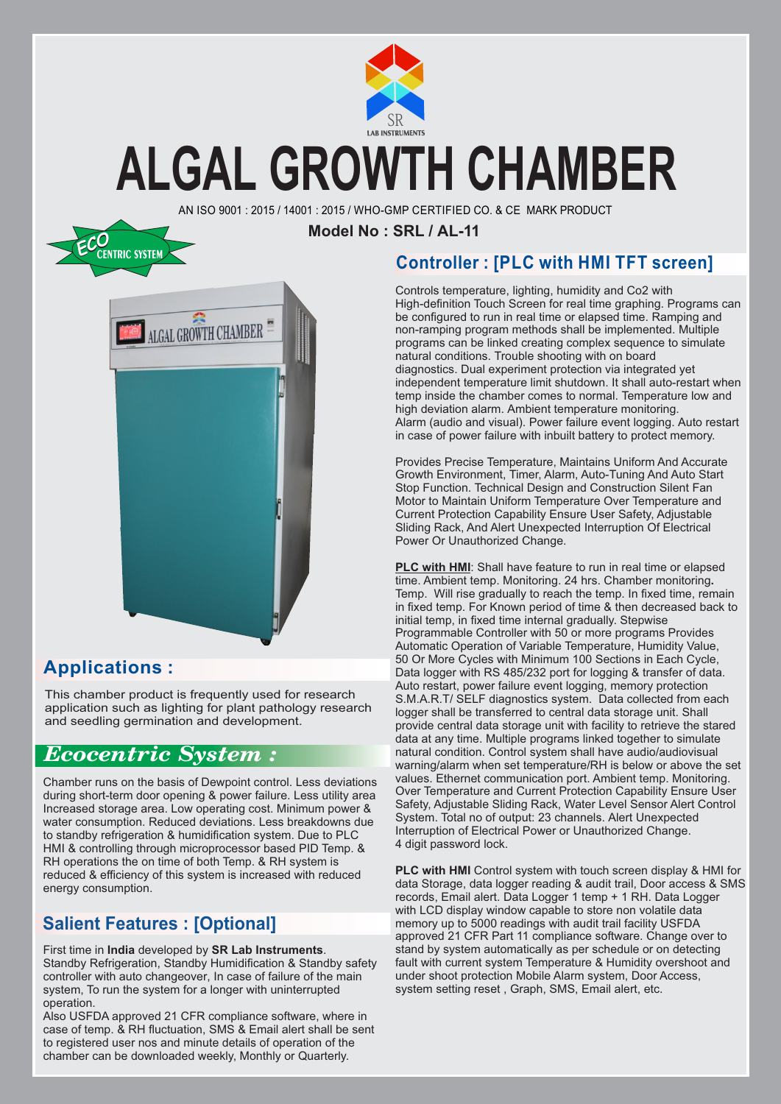

### **ALGAL GROWTH CHAMBER**

AN ISO 9001 : 2015 / 14001 : 2015 / WHO-GMP CERTIFIED CO. & CE MARK PRODUCT

**Model No : SRL / AL-11**



### **Applications :**

This chamber product is frequently used for research application such as lighting for plant pathology research and seedling germination and development.

### *Ecocentric System :*

Chamber runs on the basis of Dewpoint control. Less deviations during short-term door opening & power failure. Less utility area Increased storage area. Low operating cost. Minimum power & water consumption. Reduced deviations. Less breakdowns due to standby refrigeration & humidification system. Due to PLC HMI & controlling through microprocessor based PID Temp. & RH operations the on time of both Temp. & RH system is reduced & efficiency of this system is increased with reduced energy consumption.

### **Salient Features : [Optional]**

First time in **India** developed by **SR Lab Instruments**. Standby Refrigeration, Standby Humidification & Standby safety controller with auto changeover, In case of failure of the main system, To run the system for a longer with uninterrupted operation.

Also USFDA approved 21 CFR compliance software, where in case of temp. & RH fluctuation, SMS & Email alert shall be sent to registered user nos and minute details of operation of the chamber can be downloaded weekly, Monthly or Quarterly.

### **Controller : [PLC with HMI TFT screen]**

Controls temperature, lighting, humidity and Co2 with High-definition Touch Screen for real time graphing. Programs can be configured to run in real time or elapsed time. Ramping and non-ramping program methods shall be implemented. Multiple programs can be linked creating complex sequence to simulate natural conditions. Trouble shooting with on board diagnostics. Dual experiment protection via integrated yet independent temperature limit shutdown. It shall auto-restart when temp inside the chamber comes to normal. Temperature low and high deviation alarm. Ambient temperature monitoring. Alarm (audio and visual). Power failure event logging. Auto restart in case of power failure with inbuilt battery to protect memory.

Provides Precise Temperature, Maintains Uniform And Accurate Growth Environment, Timer, Alarm, Auto-Tuning And Auto Start Stop Function. Technical Design and Construction Silent Fan Motor to Maintain Uniform Temperature Over Temperature and Current Protection Capability Ensure User Safety, Adjustable Sliding Rack, And Alert Unexpected Interruption Of Electrical Power Or Unauthorized Change.

**PLC with HMI**: Shall have feature to run in real time or elapsed time. Ambient temp. Monitoring. 24 hrs. Chamber monitoring**.** Temp. Will rise gradually to reach the temp. In fixed time, remain in fixed temp. For Known period of time & then decreased back to initial temp, in fixed time internal gradually. Stepwise Programmable Controller with 50 or more programs Provides Automatic Operation of Variable Temperature, Humidity Value, 50 Or More Cycles with Minimum 100 Sections in Each Cycle, Data logger with RS 485/232 port for logging & transfer of data. Auto restart, power failure event logging, memory protection S.M.A.R.T/ SELF diagnostics system. Data collected from each logger shall be transferred to central data storage unit. Shall provide central data storage unit with facility to retrieve the stared data at any time. Multiple programs linked together to simulate natural condition. Control system shall have audio/audiovisual warning/alarm when set temperature/RH is below or above the set values. Ethernet communication port. Ambient temp. Monitoring. Over Temperature and Current Protection Capability Ensure User Safety, Adjustable Sliding Rack, Water Level Sensor Alert Control System. Total no of output: 23 channels. Alert Unexpected Interruption of Electrical Power or Unauthorized Change. 4 digit password lock.

**PLC with HMI** Control system with touch screen display & HMI for data Storage, data logger reading & audit trail, Door access & SMS records, Email alert. Data Logger 1 temp + 1 RH. Data Logger with LCD display window capable to store non volatile data memory up to 5000 readings with audit trail facility USFDA approved 21 CFR Part 11 compliance software. Change over to stand by system automatically as per schedule or on detecting fault with current system Temperature & Humidity overshoot and under shoot protection Mobile Alarm system, Door Access, system setting reset , Graph, SMS, Email alert, etc.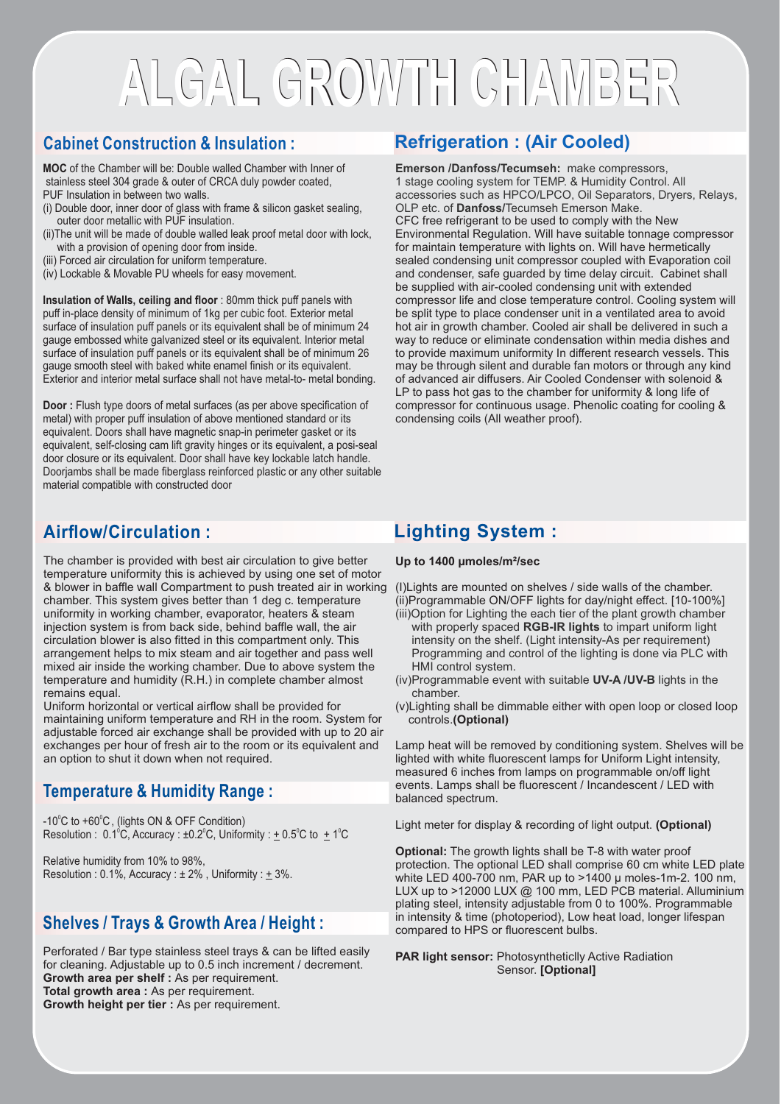## **ALGAL GROWTH CHAMBER ALGAL GROWTH CHAMBER**

### **Cabinet Construction & Insulation :**

**MOC** of the Chamber will be: Double walled Chamber with Inner of stainless steel 304 grade & outer of CRCA duly powder coated, PUF Insulation in between two walls.

- (i) Double door, inner door of glass with frame & silicon gasket sealing, outer door metallic with PUF insulation.
- (ii)The unit will be made of double walled leak proof metal door with lock, with a provision of opening door from inside.
- (iii) Forced air circulation for uniform temperature.
- (iv) Lockable & Movable PU wheels for easy movement.

**Insulation of Walls, ceiling and floor** : 80mm thick puff panels with puff in-place density of minimum of 1kg per cubic foot. Exterior metal surface of insulation puff panels or its equivalent shall be of minimum 24 gauge embossed white galvanized steel or its equivalent. Interior metal surface of insulation puff panels or its equivalent shall be of minimum 26 gauge smooth steel with baked white enamel finish or its equivalent. Exterior and interior metal surface shall not have metal-to- metal bonding.

**Door :** Flush type doors of metal surfaces (as per above specification of metal) with proper puff insulation of above mentioned standard or its equivalent. Doors shall have magnetic snap-in perimeter gasket or its equivalent, self-closing cam lift gravity hinges or its equivalent, a posi-seal door closure or its equivalent. Door shall have key lockable latch handle. Doorjambs shall be made fiberglass reinforced plastic or any other suitable material compatible with constructed door

### **Airflow/Circulation :**

The chamber is provided with best air circulation to give better temperature uniformity this is achieved by using one set of motor & blower in baffle wall Compartment to push treated air in working chamber. This system gives better than 1 deg c. temperature uniformity in working chamber, evaporator, heaters & steam injection system is from back side, behind baffle wall, the air circulation blower is also fitted in this compartment only. This arrangement helps to mix steam and air together and pass well mixed air inside the working chamber. Due to above system the temperature and humidity (R.H.) in complete chamber almost remains equal.

Uniform horizontal or vertical airflow shall be provided for maintaining uniform temperature and RH in the room. System for adjustable forced air exchange shall be provided with up to 20 air exchanges per hour of fresh air to the room or its equivalent and an option to shut it down when not required.

### **Temperature & Humidity Range :**

 $-10^{\circ}$ C to  $+60^{\circ}$ C, (lights ON & OFF Condition) Resolution :  $0.1^{\circ}$ C, Accuracy :  $\pm 0.2^{\circ}$ C, Uniformity :  $\pm 0.5^{\circ}$ C to  $\pm 1^{\circ}$ C

Relative humidity from 10% to 98%, Resolution :  $0.1\%$ , Accuracy :  $\pm 2\%$ , Uniformity :  $\pm 3\%$ .

#### **Shelves / Trays & Growth Area / Height :**

Perforated / Bar type stainless steel trays & can be lifted easily for cleaning. Adjustable up to 0.5 inch increment / decrement. **Growth area per shelf :** As per requirement. **Total growth area :** As per requirement. **Growth height per tier :** As per requirement.

### **Refrigeration : (Air Cooled)**

**Emerson /Danfoss/Tecumseh:** make compressors, 1 stage cooling system for TEMP. & Humidity Control. All accessories such as HPCO/LPCO, Oil Separators, Dryers, Relays, OLP etc. of **Danfoss/**Tecumseh Emerson Make. CFC free refrigerant to be used to comply with the New Environmental Regulation. Will have suitable tonnage compressor for maintain temperature with lights on. Will have hermetically sealed condensing unit compressor coupled with Evaporation coil and condenser, safe guarded by time delay circuit. Cabinet shall be supplied with air-cooled condensing unit with extended compressor life and close temperature control. Cooling system will be split type to place condenser unit in a ventilated area to avoid hot air in growth chamber. Cooled air shall be delivered in such a way to reduce or eliminate condensation within media dishes and to provide maximum uniformity In different research vessels. This may be through silent and durable fan motors or through any kind of advanced air diffusers. Air Cooled Condenser with solenoid & LP to pass hot gas to the chamber for uniformity & long life of compressor for continuous usage. Phenolic coating for cooling & condensing coils (All weather proof).

### **Lighting System :**

**Up to 1400 µmoles/m²/sec**

(I)Lights are mounted on shelves / side walls of the chamber. (ii)Programmable ON/OFF lights for day/night effect. [10-100%]

- (iii)Option for Lighting the each tier of the plant growth chamber with properly spaced **RGB-IR lights** to impart uniform light intensity on the shelf. (Light intensity-As per requirement) Programming and control of the lighting is done via PLC with HMI control system.
- (iv)Programmable event with suitable **UV-A /UV-B** lights in the chamber.
- (v) Lighting shall be dimmable either with open loop or closed loop controls.**(Optional)**

Lamp heat will be removed by conditioning system. Shelves will be lighted with white fluorescent lamps for Uniform Light intensity, measured 6 inches from lamps on programmable on/off light events. Lamps shall be fluorescent / Incandescent / LED with balanced spectrum.

Light meter for display & recording of light output. **(Optional)**

**Optional:** The growth lights shall be T-8 with water proof protection. The optional LED shall comprise 60 cm white LED plate white LED 400-700 nm, PAR up to >1400 µ moles-1m-2. 100 nm, LUX up to >12000 LUX @ 100 mm, LED PCB material. Alluminium plating steel, intensity adjustable from 0 to 100%. Programmable in intensity & time (photoperiod), Low heat load, longer lifespan compared to HPS or fluorescent bulbs.

**PAR light sensor:** Photosyntheticlly Active Radiation Sensor. **[Optional]**